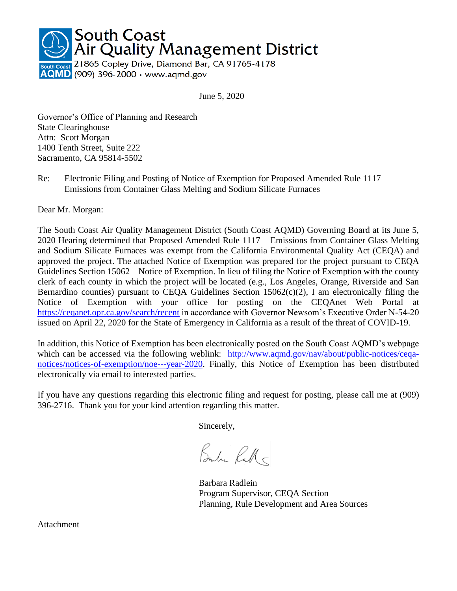

June 5, 2020

Governor's Office of Planning and Research State Clearinghouse Attn: Scott Morgan 1400 Tenth Street, Suite 222 Sacramento, CA 95814-5502

Re: Electronic Filing and Posting of Notice of Exemption for Proposed Amended Rule 1117 – Emissions from Container Glass Melting and Sodium Silicate Furnaces

Dear Mr. Morgan:

The South Coast Air Quality Management District (South Coast AQMD) Governing Board at its June 5, 2020 Hearing determined that Proposed Amended Rule 1117 – Emissions from Container Glass Melting and Sodium Silicate Furnaces was exempt from the California Environmental Quality Act (CEQA) and approved the project. The attached Notice of Exemption was prepared for the project pursuant to CEQA Guidelines Section 15062 – Notice of Exemption. In lieu of filing the Notice of Exemption with the county clerk of each county in which the project will be located (e.g., Los Angeles, Orange, Riverside and San Bernardino counties) pursuant to CEQA Guidelines Section  $15062(c)(2)$ , I am electronically filing the Notice of Exemption with your office for posting on the CEQAnet Web Portal at <https://ceqanet.opr.ca.gov/search/recent> in accordance with Governor Newsom's Executive Order N-54-20 issued on April 22, 2020 for the State of Emergency in California as a result of the threat of COVID-19.

In addition, this Notice of Exemption has been electronically posted on the South Coast AQMD's webpage which can be accessed via the following weblink: [http://www.aqmd.gov/nav/about/public-notices/ceqa](http://www.aqmd.gov/nav/about/public-notices/ceqa-notices/notices-of-exemption/noe---year-2020)[notices/notices-of-exemption/noe---year-2020.](http://www.aqmd.gov/nav/about/public-notices/ceqa-notices/notices-of-exemption/noe---year-2020) Finally, this Notice of Exemption has been distributed electronically via email to interested parties.

If you have any questions regarding this electronic filing and request for posting, please call me at (909) 396-2716. Thank you for your kind attention regarding this matter.

Sincerely,

Bube Rall

Barbara Radlein Program Supervisor, CEQA Section Planning, Rule Development and Area Sources

Attachment